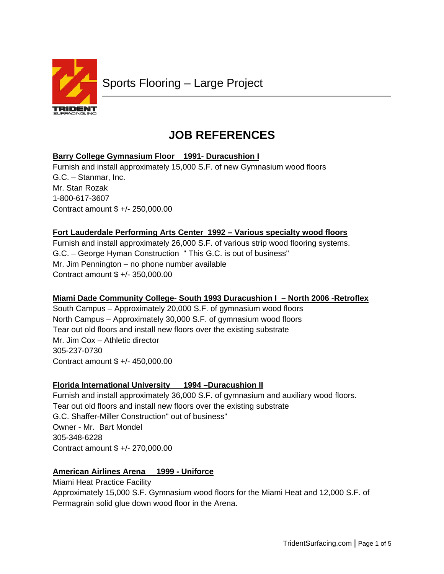

# **JOB REFERENCES**

# **Barry College Gymnasium Floor 1991- Duracushion I**

Furnish and install approximately 15,000 S.F. of new Gymnasium wood floors G.C. – Stanmar, Inc. Mr. Stan Rozak 1-800-617-3607 Contract amount \$ +/- 250,000.00

# **Fort Lauderdale Performing Arts Center 1992 – Various specialty wood floors**

Furnish and install approximately 26,000 S.F. of various strip wood flooring systems. G.C. – George Hyman Construction " This G.C. is out of business" Mr. Jim Pennington – no phone number available Contract amount \$ +/- 350,000.00

# **Miami Dade Community College- South 1993 Duracushion I – North 2006 -Retroflex**

South Campus – Approximately 20,000 S.F. of gymnasium wood floors North Campus – Approximately 30,000 S.F. of gymnasium wood floors Tear out old floors and install new floors over the existing substrate Mr. Jim Cox – Athletic director 305-237-0730 Contract amount \$ +/- 450,000.00

# **Florida International University 1994 –Duracushion II**

Furnish and install approximately 36,000 S.F. of gymnasium and auxiliary wood floors. Tear out old floors and install new floors over the existing substrate G.C. Shaffer-Miller Construction" out of business" Owner - Mr. Bart Mondel 305-348-6228 Contract amount \$ +/- 270,000.00

# **American Airlines Arena 1999 - Uniforce**

Miami Heat Practice Facility Approximately 15,000 S.F. Gymnasium wood floors for the Miami Heat and 12,000 S.F. of Permagrain solid glue down wood floor in the Arena.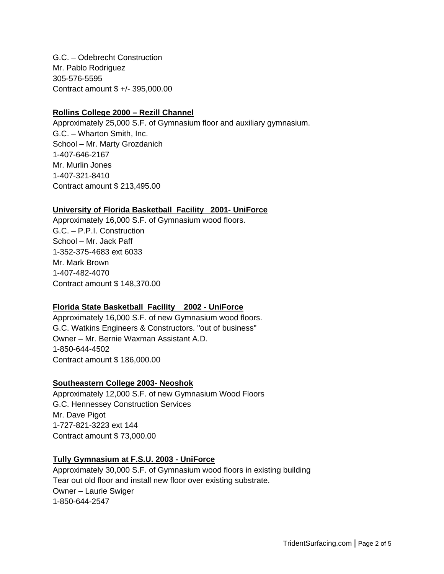G.C. – Odebrecht Construction Mr. Pablo Rodriguez 305-576-5595 Contract amount \$ +/- 395,000.00

#### **Rollins College 2000 – Rezill Channel**

Approximately 25,000 S.F. of Gymnasium floor and auxiliary gymnasium. G.C. – Wharton Smith, Inc. School – Mr. Marty Grozdanich 1-407-646-2167 Mr. Murlin Jones 1-407-321-8410 Contract amount \$ 213,495.00

#### **University of Florida Basketball Facility 2001- UniForce**

Approximately 16,000 S.F. of Gymnasium wood floors. G.C. – P.P.I. Construction School – Mr. Jack Paff 1-352-375-4683 ext 6033 Mr. Mark Brown 1-407-482-4070 Contract amount \$ 148,370.00

## **Florida State Basketball Facility 2002 - UniForce**

Approximately 16,000 S.F. of new Gymnasium wood floors. G.C. Watkins Engineers & Constructors. "out of business" Owner – Mr. Bernie Waxman Assistant A.D. 1-850-644-4502 Contract amount \$ 186,000.00

## **Southeastern College 2003- Neoshok**

Approximately 12,000 S.F. of new Gymnasium Wood Floors G.C. Hennessey Construction Services Mr. Dave Pigot 1-727-821-3223 ext 144 Contract amount \$ 73,000.00

## **Tully Gymnasium at F.S.U. 2003 - UniForce**

Approximately 30,000 S.F. of Gymnasium wood floors in existing building Tear out old floor and install new floor over existing substrate. Owner – Laurie Swiger 1-850-644-2547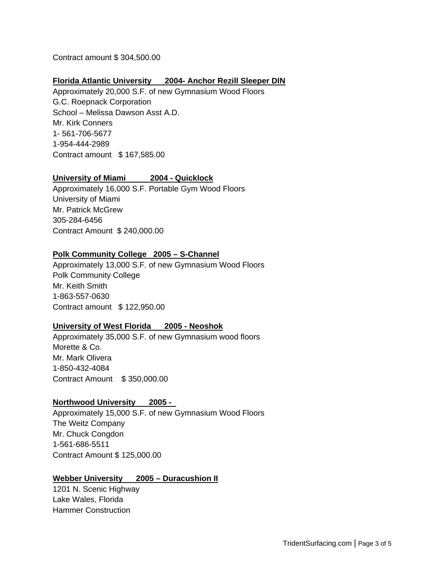Contract amount \$ 304,500.00

## **Florida Atlantic University 2004- Anchor Rezill Sleeper DIN**

Approximately 20,000 S.F. of new Gymnasium Wood Floors G.C. Roepnack Corporation School – Melissa Dawson Asst A.D. Mr. Kirk Conners 1- 561-706-5677 1-954-444-2989 Contract amount \$ 167,585.00

## **University of Miami 2004 - Quicklock**

Approximately 16,000 S.F. Portable Gym Wood Floors University of Miami Mr. Patrick McGrew 305-284-6456 Contract Amount \$ 240,000.00

## **Polk Community College 2005 – S-Channel**

Approximately 13,000 S.F. of new Gymnasium Wood Floors Polk Community College Mr. Keith Smith 1-863-557-0630 Contract amount \$ 122,950.00

#### **University of West Florida 2005 - Neoshok**

Approximately 35,000 S.F. of new Gymnasium wood floors Morette & Co. Mr. Mark Olivera 1-850-432-4084 Contract Amount \$ 350,000.00

#### **Northwood University 2005 -**

Approximately 15,000 S.F. of new Gymnasium Wood Floors The Weitz Company Mr. Chuck Congdon 1-561-686-5511 Contract Amount \$ 125,000.00

## **Webber University 2005 – Duracushion II**

1201 N. Scenic Highway Lake Wales, Florida Hammer Construction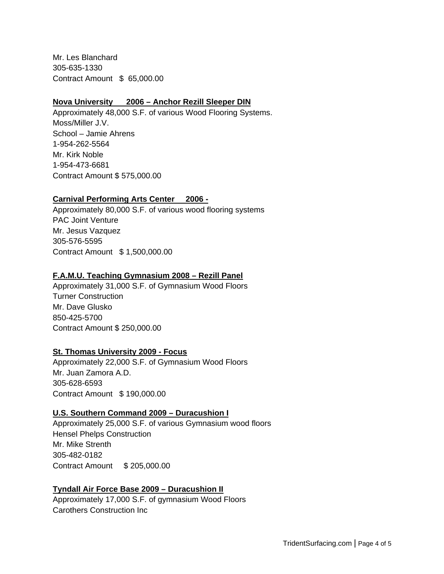Mr. Les Blanchard 305-635-1330 Contract Amount \$ 65,000.00

#### **Nova University 2006 – Anchor Rezill Sleeper DIN**

Approximately 48,000 S.F. of various Wood Flooring Systems. Moss/Miller J.V. School – Jamie Ahrens 1-954-262-5564 Mr. Kirk Noble 1-954-473-6681 Contract Amount \$ 575,000.00

## **Carnival Performing Arts Center 2006 -**

Approximately 80,000 S.F. of various wood flooring systems PAC Joint Venture Mr. Jesus Vazquez 305-576-5595 Contract Amount \$ 1,500,000.00

#### **F.A.M.U. Teaching Gymnasium 2008 – Rezill Panel**

Approximately 31,000 S.F. of Gymnasium Wood Floors Turner Construction Mr. Dave Glusko 850-425-5700 Contract Amount \$ 250,000.00

#### **St. Thomas University 2009 - Focus**

Approximately 22,000 S.F. of Gymnasium Wood Floors Mr. Juan Zamora A.D. 305-628-6593 Contract Amount \$ 190,000.00

#### **U.S. Southern Command 2009 – Duracushion I**

Approximately 25,000 S.F. of various Gymnasium wood floors Hensel Phelps Construction Mr. Mike Strenth 305-482-0182 Contract Amount \$ 205,000.00

## **Tyndall Air Force Base 2009 – Duracushion II**

Approximately 17,000 S.F. of gymnasium Wood Floors Carothers Construction Inc